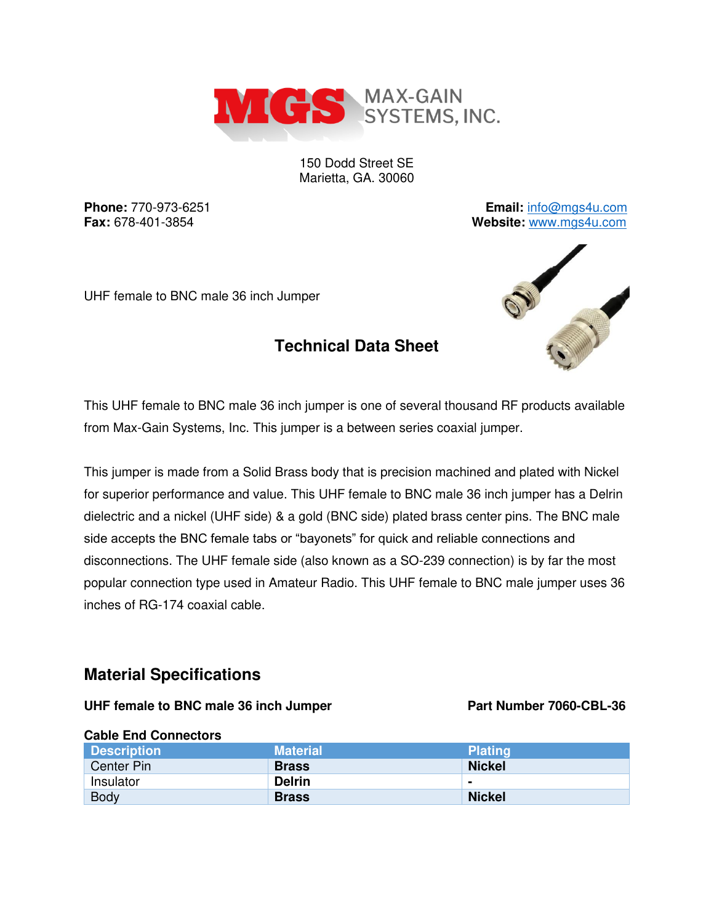

150 Dodd Street SE Marietta, GA. 30060

**Phone:** 770-973-6251 **Email:** [info@mgs4u.com](mailto:info@mgs4u.com) **Fax:** 678-401-3854 **Website:** [www.mgs4u.com](http://www.mgs4u.com/)

UHF female to BNC male 36 inch Jumper

# **Technical Data Sheet**



This UHF female to BNC male 36 inch jumper is one of several thousand RF products available from Max-Gain Systems, Inc. This jumper is a between series coaxial jumper.

This jumper is made from a Solid Brass body that is precision machined and plated with Nickel for superior performance and value. This UHF female to BNC male 36 inch jumper has a Delrin dielectric and a nickel (UHF side) & a gold (BNC side) plated brass center pins. The BNC male side accepts the BNC female tabs or "bayonets" for quick and reliable connections and disconnections. The UHF female side (also known as a SO-239 connection) is by far the most popular connection type used in Amateur Radio. This UHF female to BNC male jumper uses 36 inches of RG-174 coaxial cable.

## **Material Specifications**

### UHF female to BNC male 36 inch Jumper Part Number 7060-CBL-36

### **Cable End Connectors Description Material Plating Plating According According According According Plating Plating Center Pin Brass Nickel Brass Nickel Nickel Insulator Delrin** Body **Brass Nickel Brass** Nickel **Reserves**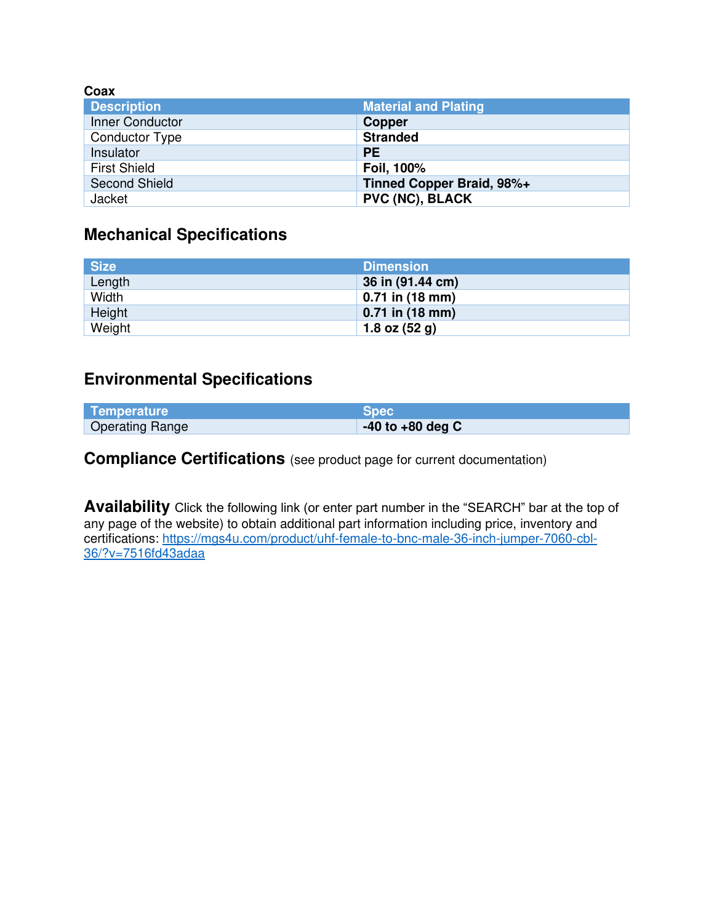| Coax                  |                             |
|-----------------------|-----------------------------|
| <b>Description</b>    | <b>Material and Plating</b> |
| Inner Conductor       | <b>Copper</b>               |
| <b>Conductor Type</b> | <b>Stranded</b>             |
| Insulator             | <b>PE</b>                   |
| <b>First Shield</b>   | Foil, 100%                  |
| <b>Second Shield</b>  | Tinned Copper Braid, 98%+   |
| Jacket                | <b>PVC (NC), BLACK</b>      |

# **Mechanical Specifications**

| <b>Size</b> | <b>Dimension</b>  |
|-------------|-------------------|
| Length      | 36 in (91.44 cm)  |
| Width       | $0.71$ in (18 mm) |
| Height      | $0.71$ in (18 mm) |
| Weight      | 1.8 oz $(52 g)$   |

## **Environmental Specifications**

| Temperature            | <b>Spec</b>          |
|------------------------|----------------------|
| <b>Operating Range</b> | $-40$ to $+80$ deg C |

**Compliance Certifications** (see product page for current documentation)

**Availability** Click the following link (or enter part number in the "SEARCH" bar at the top of any page of the website) to obtain additional part information including price, inventory and certifications: [https://mgs4u.com/product/uhf-female-to-bnc-male-36-inch-jumper-7060-cbl-](https://mgs4u.com/product/uhf-female-to-bnc-male-36-inch-jumper-7060-cbl-36/?v=7516fd43adaa)[36/?v=7516fd43adaa](https://mgs4u.com/product/uhf-female-to-bnc-male-36-inch-jumper-7060-cbl-36/?v=7516fd43adaa)